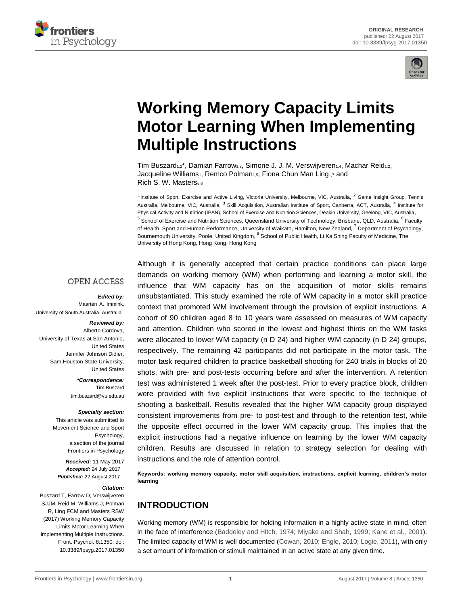



# **[Working Memory Capacity Limits](http://journal.frontiersin.org/article/10.3389/fpsyg.2017.01350/abstract) [Motor Learning When Implementing](http://journal.frontiersin.org/article/10.3389/fpsyg.2017.01350/abstract) [Multiple Instructions](http://journal.frontiersin.org/article/10.3389/fpsyg.2017.01350/abstract)**

[Tim Buszard](http://loop.frontiersin.org/people/436637/overview)<sub>1,2</sub>\*, [Damian Farrow](http://loop.frontiersin.org/people/458667/overview)<sub>1,3</sub>, [Simone J. J. M. Verswijveren](http://loop.frontiersin.org/people/444725/overview)<sub>1,4</sub>, Machar Reid<sub>1,2</sub>, [Jacqueline Williams](http://loop.frontiersin.org/people/69350/overview)<sub>1</sub>, [Remco Polman](http://loop.frontiersin.org/people/23165/overview)<sub>1,5</sub>, [Fiona Chun Man Ling](http://loop.frontiersin.org/people/464357/overview)<sub>1,7</sub> and Rich S. W. Masters68

<sup>1</sup> Institute of Sport, Exercise and Active Living, Victoria University, Melbourne, VIC, Australia, <sup>2</sup> Game Insight Group, Tennis Australia, Melbourne, VIC, Australia, <sup>3</sup> Skill Acquisition, Australian Institute of Sport, Canberra, ACT, Australia, <sup>4</sup> Institute for Physical Activity and Nutrition (IPAN), School of Exercise and Nutrition Sciences, Deakin University, Geelong, VIC, Australia, <sup>5</sup> School of Exercise and Nutrition Sciences, Queensland University of Technology, Brisbane, QLD, Australia, <sup>6</sup> Faculty of Health, Sport and Human Performance, University of Waikato, Hamilton, New Zealand, <sup>7</sup> Department of Psychology, Bournemouth University, Poole, United Kingdom, <sup>8</sup> School of Public Health, Li Ka Shing Faculty of Medicine, The University of Hong Kong, Hong Kong, Hong Kong

### **OPEN ACCESS**

*Edited by:*

Maarten A. Immink, University of South Australia, Australia

#### *Reviewed by:* Alberto Cordova,

University of Texas at San Antonio, United States Jennifer Johnson Didier, Sam Houston State University, United States

> *\*Correspondence:* Tim Buszard tim.buszard@vu.edu.au

#### *Specialty section:*

This article was submitted to Movement Science and Sport Psychology, a section of the journal Frontiers in Psychology

*Received:* 11 May 2017 *Accepted:* 24 July 2017 *Published:* 22 August 2017

#### *Citation:*

Buszard T, Farrow D, Verswijveren SJJM, Reid M, Williams J, Polman R, Ling FCM and Masters RSW (2017) Working Memory Capacity Limits Motor Learning When Implementing Multiple Instructions. Front. Psychol. 8:1350. doi: [10.3389/fpsyg.2017.01350](https://doi.org/10.3389/fpsyg.2017.01350) Although it is generally accepted that certain practice conditions can place large demands on working memory (WM) when performing and learning a motor skill, the influence that WM capacity has on the acquisition of motor skills remains unsubstantiated. This study examined the role of WM capacity in a motor skill practice context that promoted WM involvement through the provision of explicit instructions. A cohort of 90 children aged 8 to 10 years were assessed on measures of WM capacity and attention. Children who scored in the lowest and highest thirds on the WM tasks were allocated to lower WM capacity (n D 24) and higher WM capacity (n D 24) groups, respectively. The remaining 42 participants did not participate in the motor task. The motor task required children to practice basketball shooting for 240 trials in blocks of 20 shots, with pre- and post-tests occurring before and after the intervention. A retention test was administered 1 week after the post-test. Prior to every practice block, children were provided with five explicit instructions that were specific to the technique of shooting a basketball. Results revealed that the higher WM capacity group displayed consistent improvements from pre- to post-test and through to the retention test, while the opposite effect occurred in the lower WM capacity group. This implies that the explicit instructions had a negative influence on learning by the lower WM capacity children. Results are discussed in relation to strategy selection for dealing with instructions and the role of attention control.

**Keywords: working memory capacity, motor skill acquisition, instructions, explicit learning, children's motor learning**

# **INTRODUCTION**

Working memory (WM) is responsible for holding information in a highly active state in mind, often in the face of interference [\(Baddeley and Hitch, 1974;](#page-10-0) [Miyake and Shah, 1999;](#page-11-0) [Kane et al.,](#page-10-0) [2001\)](#page-10-0). The limited capacity of WM is well documented [\(Cowan, 2010;](#page-10-0) [Engle, 2010;](#page-10-0) [Logie, 2011\)](#page-10-0), with only a set amount of information or stimuli maintained in an active state at any given time.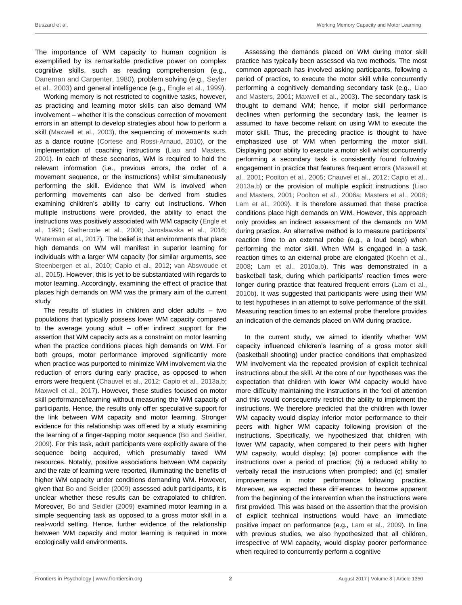The importance of WM capacity to human cognition is exemplified by its remarkable predictive power on complex cognitive skills, such as reading comprehension (e.g., [Daneman](#page-10-0) [and Carpenter, 1980\)](#page-10-0), problem solving (e.g., [Seyler](#page-11-0)  [et al., 2003\)](#page-11-0) and general intelligence (e.g.[, Engle et al., 1999\)](#page-10-0).

Working memory is not restricted to cognitive tasks, however, as practicing and learning motor skills can also demand WM involvement – whether it is the conscious correction of movement errors in an attempt to develop strategies about how to perform a skill [\(Maxwell et al., 2003\)](#page-11-0), the sequencing of movements such as a dance routine [\(Cortese and Rossi-Arnaud, 2010\)](#page-10-0), or the implementation of coaching instructions [\(Liao and Masters,](#page-10-0)  [2001\)](#page-10-0). In each of these scenarios, WM is required to hold the relevant information (i.e., previous errors, the order of a movement sequence, or the instructions) whilst simultaneously performing the skill. Evidence that WM is involved when performing movements can also be derived from studies examining children's ability to carry out instructions. When multiple instructions were provided, the ability to enact the instructions was positively associated with WM capacity [\(Engle](#page-10-0) [et](#page-10-0)  [al., 1991;](#page-10-0) [Gathercole et al., 2008;](#page-10-0) [Jaroslawska et al., 2016;](#page-10-0) [Waterman et al., 2017\)](#page-11-0). The belief is that environments that place high demands on WM will manifest in superior learning for individuals with a larger WM capacity (for similar arguments, see [Steenbergen et al., 2010;](#page-11-0) [Capio et al., 2012;](#page-10-0) [van Abswoude et](#page-11-0)  [al.,](#page-11-0) [2015\)](#page-11-0). However, this is yet to be substantiated with regards to motor learning. Accordingly, examining the effect of practice that places high demands on WM was the primary aim of the current study

The results of studies in children and older adults – two populations that typically possess lower WM capacity compared to the average young adult – offer indirect support for the assertion that WM capacity acts as a constraint on motor learning when the practice conditions places high demands on WM. For both groups, motor performance improved significantly more when practice was purported to minimize WM involvement via the reduction of errors during early practice, as opposed to when errors were frequent [\(Chauvel et al., 2012; Capio](#page-10-0) [et al., 2013a,b;](#page-10-0) [Maxwell et al., 2017\)](#page-11-0). However, these studies focused on motor skill performance/learning without measuring the WM capacity of participants. Hence, the results only offer speculative support for the link between WM capacity and motor learning. Stronger evidence for this relationship was offered by a study examining the learning of a finger-tapping motor sequence [\(Bo and Seidler,](#page-10-0) [2009\)](#page-10-0). For this task, adult participants were explicitly aware of the sequence being acquired, which presumably taxed WM resources. Notably, positive associations between WM capacity and the rate of learning were reported, illuminating the benefits of higher WM capacity under conditions demanding WM. However, given that [Bo and Seidler \(2009\)](#page-10-0) assessed adult participants, it is unclear whether these results can be extrapolated to children. Moreover, [Bo and Seidler](#page-10-0) [\(2009\) e](#page-10-0)xamined motor learning in a simple sequencing task as opposed to a gross motor skill in a real-world setting. Hence, further evidence of the relationship between WM capacity and motor learning is required in more ecologically valid environments.

Assessing the demands placed on WM during motor skill practice has typically been assessed via two methods. The most common approach has involved asking participants, following a period of practice, to execute the motor skill while concurrently performing a cognitively demanding secondary task (e.g., [Liao](#page-10-0) [and Masters, 2001;](#page-10-0) [Maxwell et al., 2003\)](#page-11-0). The secondary task is thought to demand WM; hence, if motor skill performance declines when performing the secondary task, the learner is assumed to have become reliant on using WM to execute the motor skill. Thus, the preceding practice is thought to have emphasized use of WM when performing the motor skill. Displaying poor ability to execute a motor skill whilst concurrently performing a secondary task is consistently found following engagement in practice that features frequent errors [\(Maxwell et](#page-11-0)  [al., 2001; Poolton et al., 2005;](#page-11-0) [Chauvel et al., 2012; Capio et al.,](#page-10-0)  [2013a,b\)](#page-10-0) or the provision of multiple explicit instructions [\(Liao](#page-10-0)  [and Masters, 2001;](#page-10-0) [Poolton et al., 2006a; Masters et al., 2008;](#page-11-0) [Lam et al., 2009\)](#page-10-0). It is therefore assumed that these practice conditions place high demands on WM. However, this approach only provides an indirect assessment of the demands on WM during practice. An alternative method is to measure participants' reaction time to an external probe (e.g., a loud beep) when performing the motor skill. When WM is engaged in a task, reaction times to an external probe are elongated [\(Koehn et al.,](#page-10-0)  [2008;](#page-10-0) [Lam et al., 2010a,b\)](#page-10-0). This was demonstrated in a basketball task, during which participants' reaction times were longer during practice that featured frequent errors [\(Lam et al.,](#page-10-0)  [2010b\)](#page-10-0). It was suggested that participants were using their WM to test hypotheses in an attempt to solve performance of the skill. Measuring reaction times to an external probe therefore provides an indication of the demands placed on WM during practice.

In the current study, we aimed to identify whether WM capacity influenced children's learning of a gross motor skill (basketball shooting) under practice conditions that emphasized WM involvement via the repeated provision of explicit technical instructions about the skill. At the core of our hypotheses was the expectation that children with lower WM capacity would have more difficulty maintaining the instructions in the foci of attention and this would consequently restrict the ability to implement the instructions. We therefore predicted that the children with lower WM capacity would display inferior motor performance to their peers with higher WM capacity following provision of the instructions. Specifically, we hypothesized that children with lower WM capacity, when compared to their peers with higher WM capacity, would display: (a) poorer compliance with the instructions over a period of practice; (b) a reduced ability to verbally recall the instructions when prompted; and (c) smaller improvements in motor performance following practice. Moreover, we expected these differences to become apparent from the beginning of the intervention when the instructions were first provided. This was based on the assertion that the provision of explicit technical instructions would have an immediate positive impact on performance (e.g., [Lam et al.,](#page-10-0) [2009\)](#page-10-0). In line with previous studies, we also hypothesized that all children, irrespective of WM capacity, would display poorer performance when required to concurrently perform a cognitive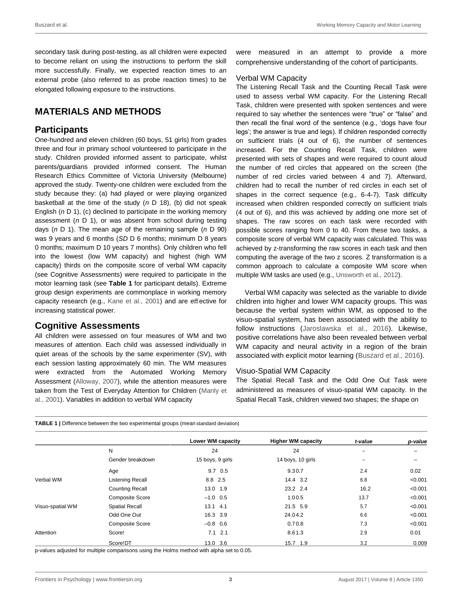<span id="page-2-0"></span>secondary task during post-testing, as all children were expected to become reliant on using the instructions to perform the skill more successfully. Finally, we expected reaction times to an external probe (also referred to as probe reaction times) to be elongated following exposure to the instructions.

# **MATERIALS AND METHODS**

### **Participants**

One-hundred and eleven children (60 boys, 51 girls) from grades three and four in primary school volunteered to participate in the study. Children provided informed assent to participate, whilst parents/guardians provided informed consent. The Human Research Ethics Committee of Victoria University (Melbourne) approved the study. Twenty-one children were excluded from the study because they: (a) had played or were playing organized basketball at the time of the study (*n* D 18), (b) did not speak English (*n* D 1), (c) declined to participate in the working memory assessment (*n* D 1), or was absent from school during testing days (*n* D 1). The mean age of the remaining sample (*n* D 90) was 9 years and 6 months (*SD* D 6 months; minimum D 8 years 0 months; maximum D 10 years 7 months). Only children who fell into the lowest (low WM capacity) and highest (high WM capacity) thirds on the composite score of verbal WM capacity (see Cognitive Assessments) were required to participate in the motor learning task (see **[Table 1](#page-2-0)** for participant details). Extreme group design experiments are commonplace in working memory capacity research (e.g., [Kane](#page-10-0) [et al., 2001\)](#page-10-0) and are effective for increasing statistical power.

### **Cognitive Assessments**

All children were assessed on four measures of WM and two measures of attention. Each child was assessed individually in quiet areas of the schools by the same experimenter (SV), with each session lasting approximately 60 min. The WM measures were extracted from the Automated Working Memory Assessment [\(Alloway, 2007\)](#page-10-0), while the attention measures were taken from the Test of Everyday Attention for Children [\(Manly et](#page-11-0)  [al., 2001\)](#page-11-0). Variables in addition to verbal WM capacity

were measured in an attempt to provide a more comprehensive understanding of the cohort of participants.

#### Verbal WM Capacity

The Listening Recall Task and the Counting Recall Task were used to assess verbal WM capacity. For the Listening Recall Task, children were presented with spoken sentences and were required to say whether the sentences were "true" or "false" and then recall the final word of the sentence (e.g., 'dogs have four legs'; the answer is true and legs). If children responded correctly on sufficient trials (4 out of 6), the number of sentences increased. For the Counting Recall Task, children were presented with sets of shapes and were required to count aloud the number of red circles that appeared on the screen (the number of red circles varied between 4 and 7). Afterward, children had to recall the number of red circles in each set of shapes in the correct sequence (e.g., 6-4-7). Task difficulty increased when children responded correctly on sufficient trials (4 out of 6), and this was achieved by adding one more set of shapes. The raw scores on each task were recorded with possible scores ranging from 0 to 40. From these two tasks, a composite score of verbal WM capacity was calculated. This was achieved by z-transforming the raw scores in each task and then computing the average of the two z scores. Z transformation is a common approach to calculate a composite WM score when multiple WM tasks are used (e.g.[, Unsworth et al.,](#page-11-0) [2012\)](#page-11-0).

Verbal WM capacity was selected as the variable to divide children into higher and lower WM capacity groups. This was because the verbal system within WM, as opposed to the visuo-spatial system, has been associated with the ability to follow instructions [\(Jaroslawska et al., 2016\)](#page-10-0). Likewise, positive correlations have also been revealed between verbal WM capacity and neural activity in a region of the brain associated with explicit motor learning [\(Buszard et al., 2016\)](#page-10-0).

#### Visuo-Spatial WM Capacity

The Spatial Recall Task and the Odd One Out Task were administered as measures of visuo-spatial WM capacity. In the Spatial Recall Task, children viewed two shapes; the shape on

|  | <b>TABLE 1</b>   Difference between the two experimental groups (mean standard deviation) |  |  |  |  |  |
|--|-------------------------------------------------------------------------------------------|--|--|--|--|--|
|--|-------------------------------------------------------------------------------------------|--|--|--|--|--|

|                  |                         | Lower WM capacity | <b>Higher WM capacity</b> | t-value                  | p-value |
|------------------|-------------------------|-------------------|---------------------------|--------------------------|---------|
|                  | N                       | 24                | 24                        | $\overline{\phantom{0}}$ |         |
|                  | Gender breakdown        | 15 boys, 9 girls  | 14 boys, 10 girls         |                          |         |
|                  | Age                     | $9.7\quad0.5$     | 9.30.7                    | 2.4                      | 0.02    |
| Verbal WM        | <b>Listening Recall</b> | 8.8 2.5           | 14.4 3.2                  | 6.8                      | < 0.001 |
|                  | <b>Counting Recall</b>  | 13.0 1.9          | 23.2 2.4                  | 16.2                     | < 0.001 |
|                  | <b>Composite Score</b>  | $-1.0$ 0.5        | 1.00.5                    | 13.7                     | < 0.001 |
| Visuo-spatial WM | <b>Spatial Recall</b>   | $13.1$ 4.1        | 21.5 5.9                  | 5.7                      | < 0.001 |
|                  | Odd One Out             | 16.3 3.9          | 24.04.2                   | 6.6                      | < 0.001 |
|                  | <b>Composite Score</b>  | $-0.8$ 0.6        | 0.70.8                    | 7.3                      | < 0.001 |
| Attention        | Score!                  | $7.1$ 2.1         | 8.61.3                    | 2.9                      | 0.01    |
|                  | Score!DT                | 13.0 3.6          | 15.7 1.9                  | 3.2                      | 0.009   |

p-values adjusted for multiple comparisons using the Holms method with alpha set to 0.05.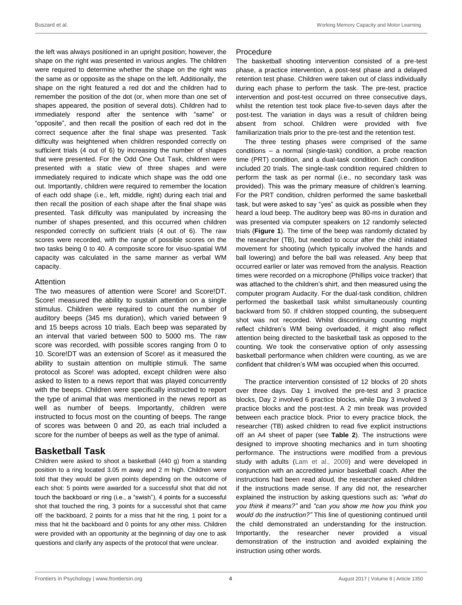the left was always positioned in an upright position; however, the shape on the right was presented in various angles. The children were required to determine whether the shape on the right was the same as or opposite as the shape on the left. Additionally, the shape on the right featured a red dot and the children had to remember the position of the dot (or, when more than one set of shapes appeared, the position of several dots). Children had to immediately respond after the sentence with "same" or "opposite", and then recall the position of each red dot in the correct sequence after the final shape was presented. Task difficulty was heightened when children responded correctly on sufficient trials (4 out of 6) by increasing the number of shapes that were presented. For the Odd One Out Task, children were presented with a static view of three shapes and were immediately required to indicate which shape was the odd one out. Importantly, children were required to remember the location of each odd shape (i.e., left, middle, right) during each trial and then recall the position of each shape after the final shape was presented. Task difficulty was manipulated by increasing the number of shapes presented, and this occurred when children responded correctly on sufficient trials (4 out of 6). The raw scores were recorded, with the range of possible scores on the two tasks being 0 to 40. A composite score for visuo-spatial WM capacity was calculated in the same manner as verbal WM capacity.

#### Attention

The two measures of attention were Score! and Score!DT. Score! measured the ability to sustain attention on a single stimulus. Children were required to count the number of auditory beeps (345 ms duration), which varied between 9 and 15 beeps across 10 trials. Each beep was separated by an interval that varied between 500 to 5000 ms. The raw score was recorded, with possible scores ranging from 0 to 10. Score!DT was an extension of Score! as it measured the ability to sustain attention on multiple stimuli. The same protocol as Score! was adopted, except children were also asked to listen to a news report that was played concurrently with the beeps. Children were specifically instructed to report the type of animal that was mentioned in the news report as well as number of beeps. Importantly, children were instructed to focus most on the counting of beeps. The range of scores was between 0 and 20, as each trial included a score for the number of beeps as well as the type of animal.

# **Basketball Task**

Children were asked to shoot a basketball (440 g) from a standing position to a ring located 3.05 m away and 2 m high. Children were told that they would be given points depending on the outcome of each shot: 5 points were awarded for a successful shot that did not touch the backboard or ring (i.e., a "swish"), 4 points for a successful shot that touched the ring, 3 points for a successful shot that came off the backboard, 2 points for a miss that hit the ring, 1 point for a miss that hit the backboard and 0 points for any other miss. Children were provided with an opportunity at the beginning of day one to ask questions and clarify any aspects of the protocol that were unclear.

#### Procedure

The basketball shooting intervention consisted of a pre-test phase, a practice intervention, a post-test phase and a delayed retention test phase. Children were taken out of class individually during each phase to perform the task. The pre-test, practice intervention and post-test occurred on three consecutive days, whilst the retention test took place five-to-seven days after the post-test. The variation in days was a result of children being absent from school. Children were provided with five familiarization trials prior to the pre-test and the retention test.

The three testing phases were comprised of the same conditions – a normal (single-task) condition, a probe reaction time (PRT) condition, and a dual-task condition. Each condition included 20 trials. The single-task condition required children to perform the task as per normal (i.e., no secondary task was provided). This was the primary measure of children's learning. For the PRT condition, children performed the same basketball task, but were asked to say "yes" as quick as possible when they heard a loud beep. The auditory beep was 80-ms in duration and was presented via computer speakers on 12 randomly selected trials (**[Figure 1](#page-4-0)**). The time of the beep was randomly dictated by the researcher (TB), but needed to occur after the child initiated movement for shooting (which typically involved the hands and ball lowering) and before the ball was released. Any beep that occurred earlier or later was removed from the analysis. Reaction times were recorded on a microphone (Phillips voice tracker) that was attached to the children's shirt, and then measured using the computer program Audacity. For the dual-task condition, children performed the basketball task whilst simultaneously counting backward from 50. If children stopped counting, the subsequent shot was not recorded. Whilst discontinuing counting might reflect children's WM being overloaded, it might also reflect attention being directed to the basketball task as opposed to the counting. We took the conservative option of only assessing basketball performance when children were counting, as we are confident that children's WM was occupied when this occurred.

The practice intervention consisted of 12 blocks of 20 shots over three days. Day 1 involved the pre-test and 3 practice blocks, Day 2 involved 6 practice blocks, while Day 3 involved 3 practice blocks and the post-test. A 2 min break was provided between each practice block. Prior to every practice block, the researcher (TB) asked children to read five explicit instructions off an A4 sheet of paper (see **[Table 2](#page-4-0)**). The instructions were designed to improve shooting mechanics and in turn shooting performance. The instructions were modified from a previous study with adults (Lam et [al., 2009\)](#page-10-0) and were developed in conjunction with an accredited junior basketball coach. After the instructions had been read aloud, the researcher asked children if the instructions made sense. If any did not, the researcher explained the instruction by asking questions such as: *"what do you think it means?"* and *"can you show me how you think you would do the instruction?"* This line of questioning continued until the child demonstrated an understanding for the instruction. Importantly, the researcher never provided a visual demonstration of the instruction and avoided explaining the instruction using other words.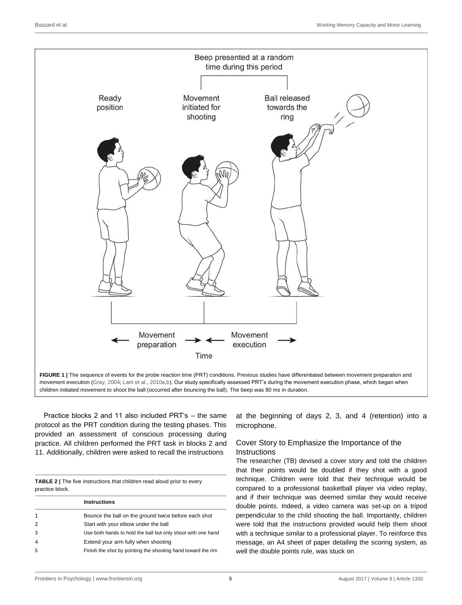<span id="page-4-0"></span>

Practice blocks 2 and 11 also included PRT's – the same protocol as the PRT condition during the testing phases. This provided an assessment of conscious processing during practice. All children performed the PRT task in blocks 2 and 11. Additionally, children were asked to recall the instructions

**TABLE 2 |** The five instructions that children read aloud prior to every practice block.

|                | <b>Instructions</b>                                          |
|----------------|--------------------------------------------------------------|
| 1              | Bounce the ball on the ground twice before each shot         |
| $\overline{2}$ | Start with your elbow under the ball                         |
| 3              | Use both hands to hold the ball but only shoot with one hand |
| $\overline{4}$ | Extend your arm fully when shooting                          |
| 5              | Finish the shot by pointing the shooting hand toward the rim |

at the beginning of days 2, 3, and 4 (retention) into a microphone.

### Cover Story to Emphasize the Importance of the **Instructions**

The researcher (TB) devised a cover story and told the children that their points would be doubled if they shot with a good technique. Children were told that their technique would be compared to a professional basketball player via video replay, and if their technique was deemed similar they would receive double points. Indeed, a video camera was set-up on a tripod perpendicular to the child shooting the ball. Importantly, children were told that the instructions provided would help them shoot with a technique similar to a professional player. To reinforce this message, an A4 sheet of paper detailing the scoring system, as well the double points rule, was stuck on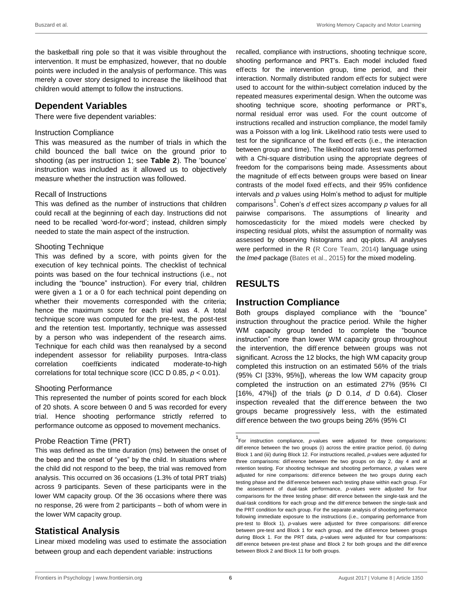<span id="page-5-0"></span>the basketball ring pole so that it was visible throughout the intervention. It must be emphasized, however, that no double points were included in the analysis of performance. This was merely a cover story designed to increase the likelihood that children would attempt to follow the instructions.

# **Dependent Variables**

There were five dependent variables:

#### Instruction Compliance

This was measured as the number of trials in which the child bounced the ball twice on the ground prior to shooting (as per instruction 1; see **[Table 2](#page-4-0)**). The 'bounce' instruction was included as it allowed us to objectively measure whether the instruction was followed.

#### Recall of Instructions

This was defined as the number of instructions that children could recall at the beginning of each day. Instructions did not need to be recalled 'word-for-word'; instead, children simply needed to state the main aspect of the instruction.

#### Shooting Technique

This was defined by a score, with points given for the execution of key technical points. The checklist of technical points was based on the four technical instructions (i.e., not including the "bounce" instruction). For every trial, children were given a 1 or a 0 for each technical point depending on whether their movements corresponded with the criteria; hence the maximum score for each trial was 4. A total technique score was computed for the pre-test, the post-test and the retention test. Importantly, technique was assessed by a person who was independent of the research aims. Technique for each child was then reanalysed by a second independent assessor for reliability purposes. Intra-class correlation coefficients indicated moderate-to-high correlations for total technique score (ICC D 0.85, *p* < 0.01).

#### Shooting Performance

This represented the number of points scored for each block of 20 shots. A score between 0 and 5 was recorded for every trial. Hence shooting performance strictly referred to performance outcome as opposed to movement mechanics.

#### Probe Reaction Time (PRT)

This was defined as the time duration (ms) between the onset of the beep and the onset of "yes" by the child. In situations where the child did not respond to the beep, the trial was removed from analysis. This occurred on 36 occasions (1.3% of total PRT trials) across 9 participants. Seven of these participants were in the lower WM capacity group. Of the 36 occasions where there was no response, 26 were from 2 participants – both of whom were in the lower WM capacity group.

# **Statistical Analysis**

Linear mixed modeling was used to estimate the association between group and each dependent variable: instructions

recalled, compliance with instructions, shooting technique score, shooting performance and PRT's. Each model included fixed effects for the intervention group, time period, and their interaction. Normally distributed random eff ects for subject were used to account for the within-subject correlation induced by the repeated measures experimental design. When the outcome was shooting technique score, shooting performance or PRT's, normal residual error was used. For the count outcome of instructions recalled and instruction compliance, the model family was a Poisson with a log link. Likelihood ratio tests were used to test for the significance of the fixed effects (i.e., the interaction between group and time). The likelihood ratio test was performed with a Chi-square distribution using the appropriate degrees of freedom for the comparisons being made. Assessments about the magnitude of effects between groups were based on linear contrasts of the model fixed effects, and their 95% confidence intervals and *p* values using Holm's method to adjust for multiple comparisons<sup>[1](#page-5-0)</sup>. Cohen's *d* effect sizes accompany *p* values for all pairwise comparisons. The assumptions of linearity and homoscedasticity for the mixed models were checked by inspecting residual plots, whilst the assumption of normality was assessed by observing histograms and qq-plots. All analyses were performed in the R [\(R Core Team, 2014\)](#page-11-0) language using the *lme4* package [\(Bates et al., 2015\)](#page-10-0) for the mixed modeling.

# **RESULTS**

# **Instruction Compliance**

Both groups displayed compliance with the "bounce" instruction throughout the practice period. While the higher WM capacity group tended to complete the "bounce instruction" more than lower WM capacity group throughout the intervention, the difference between groups was not significant. Across the 12 blocks, the high WM capacity group completed this instruction on an estimated 56% of the trials (95% CI [33%, 95%]), whereas the low WM capacity group completed the instruction on an estimated 27% (95% CI [16%, 47%]) of the trials (*p* D 0.14, *d* D 0.64). Closer inspection revealed that the difference between the two groups became progressively less, with the estimated difference between the two groups being 26% (95% CI

<sup>1</sup> For instruction compliance, *p-*values were adjusted for three comparisons: diff erence between the two groups (i) across the entire practice period, (ii) during Block 1 and (iii) during Block 12. For instructions recalled, *p-*values were adjusted for three comparisons: difference between the two groups on day 2, day 4 and at retention testing. For shooting technique and shooting performance, *p* values were adjusted for nine comparisons: diff erence between the two groups during each testing phase and the diff erence between each testing phase within each group. For the assessment of dual-task performance, *p*-values were adjusted for four comparisons for the three testing phase: diff erence between the single-task and the dual-task conditions for each group and the diff erence between the single-task and the PRT condition for each group. For the separate analysis of shooting performance following immediate exposure to the instructions (i.e., comparing performance from pre-test to Block 1), *p*-values were adjusted for three comparisons: difference between pre-test and Block 1 for each group, and the difference between groups during Block 1. For the PRT data, *p-*values were adjusted for four comparisons: diff erence between pre-test phase and Block 2 for both groups and the diff erence between Block 2 and Block 11 for both groups.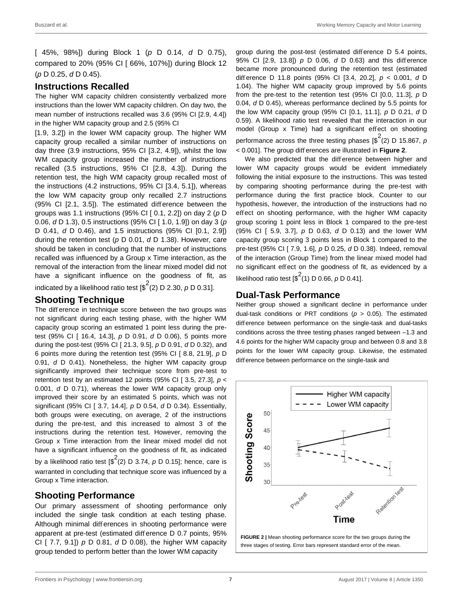<span id="page-6-0"></span>[ 45%, 98%]) during Block 1 (*p* D 0.14, *d* D 0.75), compared to 20% (95% CI [ 66%, 107%]) during Block 12 (*p* D 0.25, *d* D 0.45).

### **Instructions Recalled**

The higher WM capacity children consistently verbalized more instructions than the lower WM capacity children. On day two, the mean number of instructions recalled was 3.6 (95% CI [2.9, 4.4]) in the higher WM capacity group and 2.5 (95% CI

[1.9, 3.2]) in the lower WM capacity group. The higher WM capacity group recalled a similar number of instructions on day three (3.9 instructions, 95% CI [3.2, 4.9]), whilst the low WM capacity group increased the number of instructions recalled (3.5 instructions, 95% CI [2.8, 4.3]). During the retention test, the high WM capacity group recalled most of the instructions (4.2 instructions, 95% CI [3.4, 5.1]), whereas the low WM capacity group only recalled 2.7 instructions (95% CI [2.1, 3.5]). The estimated difference between the groups was 1.1 instructions (95% CI [ 0.1, 2.2]) on day 2 (*p* D 0.06, *d* D 1.3), 0.5 instructions (95% CI [ 1.0, 1.9]) on day 3 (*p* D 0.41, *d* D 0.46), and 1.5 instructions (95% CI [0.1, 2.9]) during the retention test (*p* D 0.01, *d* D 1.38). However, care should be taken in concluding that the number of instructions recalled was influenced by a Group x Time interaction, as the removal of the interaction from the linear mixed model did not have a significant influence on the goodness of fit, as

indicated by a likelihood ratio test  $\left[\$^2(2)$  D 2.30, p D 0.31].

### **Shooting Technique**

The difference in technique score between the two groups was not significant during each testing phase, with the higher WM capacity group scoring an estimated 1 point less during the pretest (95% CI [ 16.4, 14.3], *p* D 0.91, *d* D 0.06), 5 points more during the post-test (95% CI [ 21.3, 9.5], *p* D 0.91, *d* D 0.32), and 6 points more during the retention test (95% CI [ 8.8, 21.9], *p* D 0.91, *d* D 0.41). Nonetheless, the higher WM capacity group significantly improved their technique score from pre-test to retention test by an estimated 12 points (95% CI [ 3.5, 27.3], *p* < 0.001, *d* D 0.71), whereas the lower WM capacity group only improved their score by an estimated 5 points, which was not significant (95% CI [ 3.7, 14.4], *p* D 0.54, *d* D 0.34). Essentially, both groups were executing, on average, 2 of the instructions during the pre-test, and this increased to almost 3 of the instructions during the retention test. However, removing the Group x Time interaction from the linear mixed model did not have a significant influence on the goodness of fit, as indicated by a likelihood ratio test  $\binom{s^2}{2}$  D 3.74, p D 0.15]; hence, care is warranted in concluding that technique score was influenced by a Group x Time interaction.

# **Shooting Performance**

Our primary assessment of shooting performance only included the single task condition at each testing phase. Although minimal differences in shooting performance were apparent at pre-test (estimated difference D 0.7 points, 95% CI [ 7.7, 9.1]) *p* D 0.81, *d* D 0.08), the higher WM capacity group tended to perform better than the lower WM capacity

group during the post-test (estimated difference D 5.4 points, 95% CI [2.9, 13.8]) *p* D 0.06, *d* D 0.63) and this difference became more pronounced during the retention test (estimated difference D 11.8 points (95% CI [3.4, 20.2], *p* < 0.001, *d* D 1.04). The higher WM capacity group improved by 5.6 points from the pre-test to the retention test (95% CI [0.0, 11.3], *p* D 0.04, *d* D 0.45), whereas performance declined by 5.5 points for the low WM capacity group (95% CI [0.1, 11.1], *p* D 0.21, *d* D 0.59). A likelihood ratio test revealed that the interaction in our model (Group x Time) had a significant effect on shooting performance across the three testing phases [\$<sup>2</sup>(2) D 15.867, p < 0.001]. The group diff erences are illustrated in **[Figure 2](#page-6-0)**.

We also predicted that the difference between higher and lower WM capacity groups would be evident immediately following the initial exposure to the instructions. This was tested by comparing shooting performance during the pre-test with performance during the first practice block. Counter to our hypothesis, however, the introduction of the instructions had no effect on shooting performance, with the higher WM capacity group scoring 1 point less in Block 1 compared to the pre-test (95% CI [ 5.9, 3.7], *p* D 0.63, *d* D 0.13) and the lower WM capacity group scoring 3 points less in Block 1 compared to the pre-test (95% CI [ 7.9, 1.6], *p* D 0.25, *d* D 0.38). Indeed, removal of the interaction (Group Time) from the linear mixed model had no significant effect on the goodness of fit, as evidenced by a likelihood ratio test [\$<sup>2</sup> (1) D 0.66, *p* D 0.41].

### **Dual-Task Performance**

Neither group showed a significant decline in performance under dual-task conditions or PRT conditions (*p* > 0.05). The estimated difference between performance on the single-task and dual-tasks conditions across the three testing phases ranged between –1.3 and 4.6 points for the higher WM capacity group and between 0.8 and 3.8 points for the lower WM capacity group. Likewise, the estimated difference between performance on the single-task and

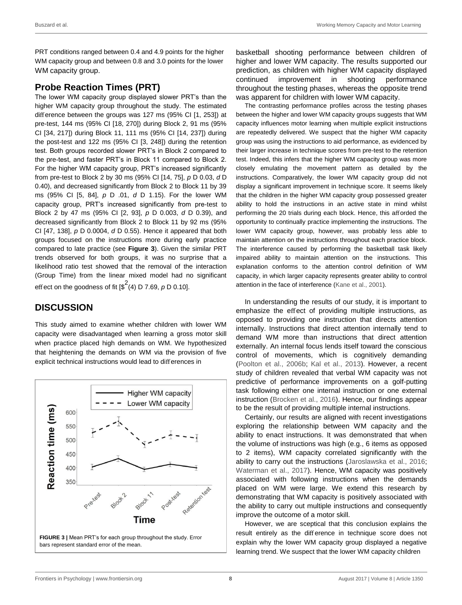<span id="page-7-0"></span>PRT conditions ranged between 0.4 and 4.9 points for the higher WM capacity group and between 0.8 and 3.0 points for the lower WM capacity group.

# **Probe Reaction Times (PRT)**

The lower WM capacity group displayed slower PRT's than the higher WM capacity group throughout the study. The estimated difference between the groups was 127 ms (95% CI [1, 253]) at pre-test, 144 ms (95% CI [18, 270]) during Block 2, 91 ms (95% CI [34, 217]) during Block 11, 111 ms (95% CI [14, 237]) during the post-test and 122 ms (95% CI [3, 248]) during the retention test. Both groups recorded slower PRT's in Block 2 compared to the pre-test, and faster PRT's in Block 11 compared to Block 2. For the higher WM capacity group, PRT's increased significantly from pre-test to Block 2 by 30 ms (95% CI [14, 75], *p* D 0.03, *d* D 0.40), and decreased significantly from Block 2 to Block 11 by 39 ms (95% CI [5, 84], *p* D .01, *d* D 1.15). For the lower WM capacity group, PRT's increased significantly from pre-test to Block 2 by 47 ms (95% CI [2, 93], *p* D 0.003, *d* D 0.39), and decreased significantly from Block 2 to Block 11 by 92 ms (95% CI [47, 138], *p* D 0.0004, *d* D 0.55). Hence it appeared that both groups focused on the instructions more during early practice compared to late practice (see **[Figure 3](#page-7-0)**). Given the similar PRT trends observed for both groups, it was no surprise that a likelihood ratio test showed that the removal of the interaction (Group Time) from the linear mixed model had no significant effect on the goodness of fit [ $\frac{\sqrt{2}}{4}$ (4) D 7.69, *p* D 0.10].

# **DISCUSSION**

This study aimed to examine whether children with lower WM capacity were disadvantaged when learning a gross motor skill when practice placed high demands on WM. We hypothesized that heightening the demands on WM via the provision of five explicit technical instructions would lead to differences in



basketball shooting performance between children of higher and lower WM capacity. The results supported our prediction, as children with higher WM capacity displayed continued improvement in shooting performance throughout the testing phases, whereas the opposite trend was apparent for children with lower WM capacity.

The contrasting performance profiles across the testing phases between the higher and lower WM capacity groups suggests that WM capacity influences motor learning when multiple explicit instructions are repeatedly delivered. We suspect that the higher WM capacity group was using the instructions to aid performance, as evidenced by their larger increase in technique scores from pre-test to the retention test. Indeed, this infers that the higher WM capacity group was more closely emulating the movement pattern as detailed by the instructions. Comparatively, the lower WM capacity group did not display a significant improvement in technique score. It seems likely that the children in the higher WM capacity group possessed greater ability to hold the instructions in an active state in mind whilst performing the 20 trials during each block. Hence, this afforded the opportunity to continually practice implementing the instructions. The lower WM capacity group, however, was probably less able to maintain attention on the instructions throughout each practice block. The interference caused by performing the basketball task likely impaired ability to maintain attention on the instructions. This explanation conforms to the attention control definition of WM capacity, in which larger capacity represents greater ability to control attention in the face of interference [\(Kane et al., 2001\)](#page-10-0).

In understanding the results of our study, it is important to emphasize the effect of providing multiple instructions, as opposed to providing one instruction that directs attention internally. Instructions that direct attention internally tend to demand WM more than instructions that direct attention externally. An internal focus lends itself toward the conscious control of movements, which is cognitively demanding [\(Poolton](#page-11-0) [et al., 2006b;](#page-11-0) [Kal et al., 2013\)](#page-10-0). However, a recent study of children revealed that verbal WM capacity was not predictive of performance improvements on a golf-putting task following either one internal instruction or one external instruction [\(Brocken et al., 2016\)](#page-10-0). Hence, our findings appear to be the result of providing multiple internal instructions.

Certainly, our results are aligned with recent investigations exploring the relationship between WM capacity and the ability to enact instructions. It was demonstrated that when the volume of instructions was high (e.g., 6 items as opposed to 2 items), WM capacity correlated significantly with the ability to carry out the instructions [\(Jaroslawska et al., 2016;](#page-10-0) [Waterman et al., 2017\)](#page-11-0). Hence, WM capacity was positively associated with following instructions when the demands placed on WM were large. We extend this research by demonstrating that WM capacity is positively associated with the ability to carry out multiple instructions and consequently improve the outcome of a motor skill.

However, we are sceptical that this conclusion explains the result entirely as the difference in technique score does not explain why the lower WM capacity group displayed a negative learning trend. We suspect that the lower WM capacity children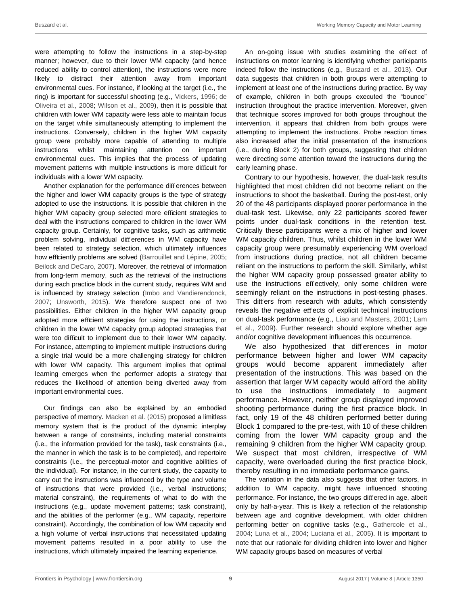were attempting to follow the instructions in a step-by-step manner; however, due to their lower WM capacity (and hence reduced ability to control attention), the instructions were more likely to distract their attention away from important environmental cues. For instance, if looking at the target (i.e., the ring) is important for successful shooting (e.g., [Vickers,](#page-11-0) [1996;](#page-11-0) [de](#page-10-0)  [Oliveira et al., 2008;](#page-10-0) [Wilson et al., 2009\)](#page-11-0), then it is possible that children with lower WM capacity were less able to maintain focus on the target while simultaneously attempting to implement the instructions. Conversely, children in the higher WM capacity group were probably more capable of attending to multiple instructions whilst maintaining attention on important environmental cues. This implies that the process of updating movement patterns with multiple instructions is more difficult for individuals with a lower WM capacity.

Another explanation for the performance differences between the higher and lower WM capacity groups is the type of strategy adopted to use the instructions. It is possible that children in the higher WM capacity group selected more efficient strategies to deal with the instructions compared to children in the lower WM capacity group. Certainly, for cognitive tasks, such as arithmetic problem solving, individual differences in WM capacity have been related to strategy selection, which ultimately influences how efficiently problems are solved [\(Barrouillet and Lépine,](#page-10-0) [2005;](#page-10-0) [Beilock and DeCaro, 2007\)](#page-10-0). Moreover, the retrieval of information from long-term memory, such as the retrieval of the instructions during each practice block in the current study, requires WM and is influenced by strategy selection [\(Imbo and](#page-10-0) [Vandierendonck,](#page-10-0)  [2007;](#page-10-0) [Unsworth, 2015\)](#page-11-0). We therefore suspect one of two possibilities. Either children in the higher WM capacity group adopted more efficient strategies for using the instructions, or children in the lower WM capacity group adopted strategies that were too difficult to implement due to their lower WM capacity. For instance, attempting to implement multiple instructions during a single trial would be a more challenging strategy for children with lower WM capacity. This argument implies that optimal learning emerges when the performer adopts a strategy that reduces the likelihood of attention being diverted away from important environmental cues.

Our findings can also be explained by an embodied perspective of memory. [Macken et al. \(2015\)](#page-11-0) proposed a limitless memory system that is the product of the dynamic interplay between a range of constraints, including material constraints (i.e., the information provided for the task), task constraints (i.e., the manner in which the task is to be completed), and repertoire constraints (i.e., the perceptual-motor and cognitive abilities of the individual). For instance, in the current study, the capacity to carry out the instructions was influenced by the type and volume of instructions that were provided (i.e., verbal instructions; material constraint), the requirements of what to do with the instructions (e.g., update movement patterns; task constraint), and the abilities of the performer (e.g., WM capacity, repertoire constraint). Accordingly, the combination of low WM capacity and a high volume of verbal instructions that necessitated updating movement patterns resulted in a poor ability to use the instructions, which ultimately impaired the learning experience.

An on-going issue with studies examining the effect of instructions on motor learning is identifying whether participants indeed follow the instructions (e.g., [Buszard et al.,](#page-10-0) [2013\)](#page-10-0). Our data suggests that children in both groups were attempting to implement at least one of the instructions during practice. By way of example, children in both groups executed the "bounce" instruction throughout the practice intervention. Moreover, given that technique scores improved for both groups throughout the intervention, it appears that children from both groups were attempting to implement the instructions. Probe reaction times also increased after the initial presentation of the instructions (i.e., during Block 2) for both groups, suggesting that children were directing some attention toward the instructions during the early learning phase.

Contrary to our hypothesis, however, the dual-task results highlighted that most children did not become reliant on the instructions to shoot the basketball. During the post-test, only 20 of the 48 participants displayed poorer performance in the dual-task test. Likewise, only 22 participants scored fewer points under dual-task conditions in the retention test. Critically these participants were a mix of higher and lower WM capacity children. Thus, whilst children in the lower WM capacity group were presumably experiencing WM overload from instructions during practice, not all children became reliant on the instructions to perform the skill. Similarly, whilst the higher WM capacity group possessed greater ability to use the instructions effectively, only some children were seemingly reliant on the instructions in post-testing phases. This differs from research with adults, which consistently reveals the negative effects of explicit technical instructions on dual-task performance (e.g., [Liao and Masters, 2001; Lam](#page-10-0)  [et al., 2009\)](#page-10-0). Further research should explore whether age and/or cognitive development influences this occurrence.

We also hypothesized that differences in motor performance between higher and lower WM capacity groups would become apparent immediately after presentation of the instructions. This was based on the assertion that larger WM capacity would afford the ability to use the instructions immediately to augment performance. However, neither group displayed improved shooting performance during the first practice block. In fact, only 19 of the 48 children performed better during Block 1 compared to the pre-test, with 10 of these children coming from the lower WM capacity group and the remaining 9 children from the higher WM capacity group. We suspect that most children, irrespective of WM capacity, were overloaded during the first practice block, thereby resulting in no immediate performance gains.

The variation in the data also suggests that other factors, in addition to WM capacity, might have influenced shooting performance. For instance, the two groups differed in age, albeit only by half-a-year. This is likely a reflection of the relationship between age and cognitive development, with older children performing better on cognitive tasks (e.g., [Gathercole et al.,](#page-10-0) [2004;](#page-10-0) [Luna et al., 2004;](#page-11-0) [Luciana et al., 2005\)](#page-10-0). It is important to note that our rationale for dividing children into lower and higher WM capacity groups based on measures of verbal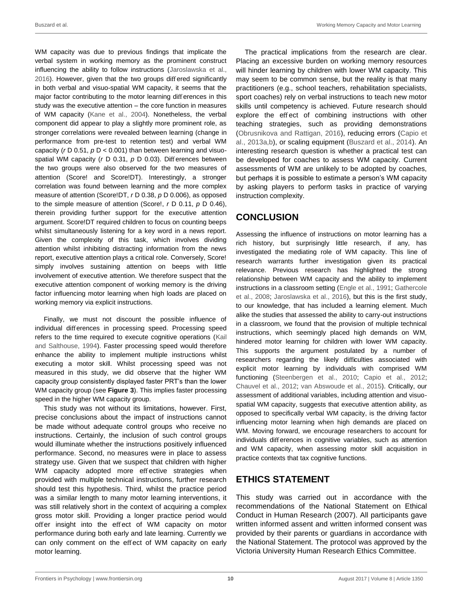WM capacity was due to previous findings that implicate the verbal system in working memory as the prominent construct influencing the ability to follow instructions [\(Jaroslawska et al.,](#page-10-0) [2016\)](#page-10-0). However, given that the two groups differed significantly in both verbal and visuo-spatial WM capacity, it seems that the major factor contributing to the motor learning differences in this study was the executive attention – the core function in measures of WM capacity [\(Kane et al., 2004\)](#page-10-0). Nonetheless, the verbal component did appear to play a slightly more prominent role, as stronger correlations were revealed between learning (change in performance from pre-test to retention test) and verbal WM capacity (*r* D 0.51, *p* D < 0.001) than between learning and visuospatial WM capacity (*r* D 0.31, *p* D 0.03). Differences between the two groups were also observed for the two measures of attention (Score! and Score!DT). Interestingly, a stronger correlation was found between learning and the more complex measure of attention (Score!DT, *r* D 0.38, *p* D 0.006), as opposed to the simple measure of attention (Score!, *r* D 0.11, *p* D 0.46), therein providing further support for the executive attention argument. Score!DT required children to focus on counting beeps whilst simultaneously listening for a key word in a news report. Given the complexity of this task, which involves dividing attention whilst inhibiting distracting information from the news report, executive attention plays a critical role. Conversely, Score! simply involves sustaining attention on beeps with little involvement of executive attention. We therefore suspect that the executive attention component of working memory is the driving factor influencing motor learning when high loads are placed on working memory via explicit instructions.

Finally, we must not discount the possible influence of individual differences in processing speed. Processing speed refers to the time required to execute cognitive operations [\(Kail](#page-10-0) [and Salthouse, 1994\)](#page-10-0). Faster processing speed would therefore enhance the ability to implement multiple instructions whilst executing a motor skill. Whilst processing speed was not measured in this study, we did observe that the higher WM capacity group consistently displayed faster PRT's than the lower WM capacity group (see **[Figure 3](#page-7-0)**). This implies faster processing speed in the higher WM capacity group.

This study was not without its limitations, however. First, precise conclusions about the impact of instructions cannot be made without adequate control groups who receive no instructions. Certainly, the inclusion of such control groups would illuminate whether the instructions positively influenced performance. Second, no measures were in place to assess strategy use. Given that we suspect that children with higher WM capacity adopted more effective strategies when provided with multiple technical instructions, further research should test this hypothesis. Third, whilst the practice period was a similar length to many motor learning interventions, it was still relatively short in the context of acquiring a complex gross motor skill. Providing a longer practice period would offer insight into the effect of WM capacity on motor performance during both early and late learning. Currently we can only comment on the effect of WM capacity on early motor learning.

The practical implications from the research are clear. Placing an excessive burden on working memory resources will hinder learning by children with lower WM capacity. This may seem to be common sense, but the reality is that many practitioners (e.g., school teachers, rehabilitation specialists, sport coaches) rely on verbal instructions to teach new motor skills until competency is achieved. Future research should explore the effect of combining instructions with other teaching strategies, such as providing demonstrations [\(Obrusnikova](#page-11-0) [and Rattigan, 2016\)](#page-11-0), reducing errors [\(Capio et](#page-10-0)  [al., 2013a,b\)](#page-10-0), or scaling equipment [\(Buszard et al., 2014\)](#page-10-0). An interesting research question is whether a practical test can be developed for coaches to assess WM capacity. Current assessments of WM are unlikely to be adopted by coaches, but perhaps it is possible to estimate a person's WM capacity by asking players to perform tasks in practice of varying instruction complexity.

# **CONCLUSION**

Assessing the influence of instructions on motor learning has a rich history, but surprisingly little research, if any, has investigated the mediating role of WM capacity. This line of research warrants further investigation given its practical relevance. Previous research has highlighted the strong relationship between WM capacity and the ability to implement instructions in a classroom setting [\(Engle et al., 1991; Gathercole](#page-10-0) [et al., 2008;](#page-10-0) [Jaroslawska et al., 2016\)](#page-10-0), but this is the first study, to our knowledge, that has included a learning element. Much alike the studies that assessed the ability to carry-out instructions in a classroom, we found that the provision of multiple technical instructions, which seemingly placed high demands on WM, hindered motor learning for children with lower WM capacity. This supports the argument postulated by a number of researchers regarding the likely difficulties associated with explicit motor learning by individuals with comprised WM functioning [\(Steenbergen et al., 2010;](#page-11-0) [Capio et al., 2012;](#page-10-0) [Chauvel et al., 2012;](#page-10-0) [van Abswoude et al., 2015\)](#page-11-0). Critically, our assessment of additional variables, including attention and visuospatial WM capacity, suggests that executive attention ability, as opposed to specifically verbal WM capacity, is the driving factor influencing motor learning when high demands are placed on WM. Moving forward, we encourage researchers to account for individuals differences in cognitive variables, such as attention and WM capacity, when assessing motor skill acquisition in practice contexts that tax cognitive functions.

# **ETHICS STATEMENT**

This study was carried out in accordance with the recommendations of the National Statement on Ethical Conduct in Human Research (2007). All participants gave written informed assent and written informed consent was provided by their parents or guardians in accordance with the National Statement. The protocol was approved by the Victoria University Human Research Ethics Committee.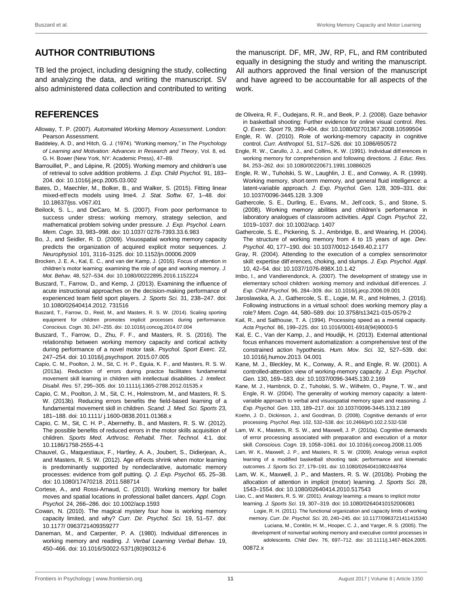# <span id="page-10-0"></span>**AUTHOR CONTRIBUTIONS**

TB led the project, including designing the study, collecting and analyzing the data, and writing the manuscript. SV also administered data collection and contributed to writing

# **REFERENCES**

- Alloway, T. P. (2007). *Automated Working Memory Assessment*. London: Pearson Assessment.
- Baddeley, A. D., and Hitch, G. J. (1974). "Working memory," in *The Psychology of Learning and Motivation: Advances in Research and Theory*, Vol. 8, ed. G. H. Bower (New York, NY: Academic Press), 47–89.
- Barrouillet, P., and Lépine, R. (2005). Working memory and children's use of retrieval to solve addition problems. *J. Exp. Child Psychol.* 91, 183– 204[. doi: 10.1016/j.jecp.2005.03.002](https://doi.org/10.1016/j.jecp.2005.03.002)
- Bates, D., Maechler, M., Bolker, B., and Walker, S. (2015). Fitting linear mixed-effects models using lme4. *J. Stat. Softw.* 67, 1–48. [doi:](https://doi.org/10.18637/jss.v067.i01)  [10.18637/jss.](https://doi.org/10.18637/jss.v067.i01) [v067.i01](https://doi.org/10.18637/jss.v067.i01)
- Beilock, S. L., and DeCaro, M. S. (2007). From poor performance to success under stress: working memory, strategy selection, and mathematical problem solving under pressure. *J. Exp. Psychol. Learn. Mem. Cogn.* 33, 983–998. [doi: 10.1037/](https://doi.org/10.1037/0278-7393.33.6.983) [0278-7393.33.6.983](https://doi.org/10.1037/0278-7393.33.6.983)
- Bo, J., and Seidler, R. D. (2009). Visuospatial working memory capacity predicts the organization of acquired explicit motor sequences. *J. Neurophysiol.* 101, 3116–3125[. doi: 10.1152/jn.00006.2009](https://doi.org/10.1152/jn.00006.2009)
- Brocken, J. E. A., Kal, E. C., and van der Kamp, J. (2016). Focus of attention in children's motor learning: examining the role of age and working memory. *J. Mot. Behav.* 48, 527–534[. doi: 10.1080/00222895.2016.1152224](https://doi.org/10.1080/00222895.2016.1152224)
- Buszard, T., Farrow, D., and Kemp, J. (2013). Examining the influence of acute instructional approaches on the decision-making performance of experienced team field sport players. *J. Sports Sci.* 31, 238–247. [doi:](https://doi.org/10.1080/02640414.2012.731516)  [10.1080/02640414.2012.](https://doi.org/10.1080/02640414.2012.731516) [731516](https://doi.org/10.1080/02640414.2012.731516)
- Buszard, T., Farrow, D., Reid, M., and Masters, R. S. W. (2014). Scaling sporting equipment for children promotes implicit processes during performance. *Conscious. Cogn.* 30, 247–255. [doi: 10.1016/j.concog.2014.07.004](https://doi.org/10.1016/j.concog.2014.07.004)
- Buszard, T., Farrow, D., Zhu, F. F., and Masters, R. S. (2016). The relationship between working memory capacity and cortical activity during performance of a novel motor task. *Psychol. Sport Exerc.* 22, 247–254[. doi: 10.1016/j.psychsport.](https://doi.org/10.1016/j.psychsport.2015.07.005) [2015.07.005](https://doi.org/10.1016/j.psychsport.2015.07.005)
- Capio, C. M., Poolton, J. M., Sit, C. H. P., Eguia, K. F., and Masters, R. S. W. (2013a). Reduction of errors during practce facilitates fundamental movement skill learning in children with intellectual disabilities. *J. Intellect. Disabil. Res.* 57, 295–305. [doi: 10.1111/j.1365-2788.2012.01535.x](https://doi.org/10.1111/j.1365-2788.2012.01535.x)
- Capio, C. M., Poolton, J. M., Sit, C. H., Holmstrom, M., and Masters, R. S. W. (2013b). Reducing errors benefits the field-based learning of a fundamental movement skill in children. *Scand. J. Med. Sci. Sports* 23, 181–188[. doi: 10.1111/](https://doi.org/10.1111/j.1600-0838.2011.01368.x) [j.1600-0838.2011.01368.x](https://doi.org/10.1111/j.1600-0838.2011.01368.x)
- Capio, C. M., Sit, C. H. P., Abernethy, B., and Masters, R. S. W. (2012). The possible benefits of reduced errors in the motor skills acquisition of children. *Sports Med. Arthrosc. Rehabil. Ther. Technol.* 4:1. [doi:](https://doi.org/10.1186/1758-2555-4-1)  [10.1186/1758-2555-4-1](https://doi.org/10.1186/1758-2555-4-1)
- Chauvel, G., Maquestiaux, F., Hartley, A. A., Joubert, S., Didierjean, A., and Masters, R. S. W. (2012). Age effects shrink when motor learning is predominantly supported by nondeclarative, automatic memory processes: evidence from golf putting. *Q. J. Exp. Psychol.* 65, 25–38. [doi: 10.1080/17470218.](https://doi.org/10.1080/17470218.2011.588714) [2011.588714](https://doi.org/10.1080/17470218.2011.588714)
- Cortese, A., and Rossi-Arnaud, C. (2010). Working memory for ballet moves and spatial locations in professional ballet dancers. *Appl. Cogn. Psychol.* 24, 266–286[. doi: 10.1002/acp.1593](https://doi.org/10.1002/acp.1593)
- Cowan, N. (2010). The magical mystery four how is working memory capacity limited, and why? *Curr. Dir. Psychol. Sci.* 19, 51–57. [doi:](https://doi.org/10.1177/0963721409359277)  [10.1177/](https://doi.org/10.1177/0963721409359277) [0963721409359277](https://doi.org/10.1177/0963721409359277)
- Daneman, M., and Carpenter, P. A. (1980). Individual differences in working memory and reading. *J. Verbal Learning Verbal Behav.* 19, 450–466[. doi: 10.1016/S0022-5371\(80\)90312-6](https://doi.org/10.1016/S0022-5371(80)90312-6)

the manuscript. DF, MR, JW, RP, FL, and RM contributed equally in designing the study and writing the manuscript. All authors approved the final version of the manuscript and have agreed to be accountable for all aspects of the work.

- de Oliveira, R. F., Oudejans, R. R., and Beek, P. J. (2008). Gaze behavior in basketball shooting: Further evidence for online visual control. *Res. Q. Exerc. Sport* 79, 399–404[. doi: 10.1080/02701367.2008.10599504](https://doi.org/10.1080/02701367.2008.10599504)
- Engle, R. W. (2010). Role of working-memory capacity in cognitive control. *Curr. Anthropol.* 51, S17–S26[. doi: 10.1086/650572](https://doi.org/10.1086/650572)
- Engle, R. W., Carullo, J. J., and Collins, K. W. (1991). Individual diff erences in working memory for comprehension and following directions. *J. Educ. Res.* 84, 253–262. [doi: 10.1080/00220671.1991.10886025](https://doi.org/10.1080/00220671.1991.10886025)
- Engle, R. W., Tuholski, S. W., Laughlin, J. E., and Conway, A. R. (1999). Working memory, short-term memory, and general fluid intelligence: a latent-variable approach. *J. Exp. Psychol. Gen.* 128, 309–331. [doi:](https://doi.org/10.1037/0096-3445.128.3.309)  [10.1037/0096-3445.128.](https://doi.org/10.1037/0096-3445.128.3.309) [3.309](https://doi.org/10.1037/0096-3445.128.3.309)
- Gathercole, S. E., Durling, E., Evans, M., Jeffcock, S., and Stone, S. (2008). Working memory abilities and children's performance in laboratory analogues of classroom activities. *Appl. Cogn. Psychol.* 22, 1019–1037[. doi: 10.1002/acp.](https://doi.org/10.1002/acp.1407) [1407](https://doi.org/10.1002/acp.1407)
- Gathercole, S. E., Pickering, S. J., Ambridge, B., and Wearing, H. (2004). The structure of working memory from 4 to 15 years of age. *Dev. Psychol.* 40, 177–190[. doi: 10.1037/0012-1649.40.2.177](https://doi.org/10.1037/0012-1649.40.2.177)
- Gray, R. (2004). Attending to the execution of a complex sensorimotor skill: expertise differences, choking, and slumps. *J. Exp. Psychol. Appl.* 10, 42–54[. doi: 10.1037/1076-898X.10.1.42](https://doi.org/10.1037/1076-898X.10.1.42)
- Imbo, I., and Vandierendonck, A. (2007). The development of strategy use in elementary school children: working memory and individual diff erences. *J. Exp. Child Psychol.* 96, 284–309[. doi: 10.1016/j.jecp.2006.09.001](https://doi.org/10.1016/j.jecp.2006.09.001)
- Jaroslawska, A. J., Gathercole, S. E., Logie, M. R., and Holmes, J. (2016). Following instructions in a virtual school: does working memory play a role? *Mem. Cogn.* 44, 580–589[. doi: 10.3758/s13421-015-0579-2](https://doi.org/10.3758/s13421-015-0579-2)
- Kail, R., and Salthouse, T. A. (1994). Processing speed as a mental capacity. *Acta Psychol.* 86, 199–225[. doi: 10.1016/0001-6918\(94\)90003-5](https://doi.org/10.1016/0001-6918(94)90003-5)
- Kal, E. C., Van der Kamp, J., and Houdijk, H. (2013). External attentional focus enhances movement automatization: a comprehensive test of the constrained action hypothesis. *Hum. Mov. Sci.* 32, 527–539. [doi:](https://doi.org/10.1016/j.humov.2013.04.001)  [10.1016/j.humov.2013.](https://doi.org/10.1016/j.humov.2013.04.001) [04.001](https://doi.org/10.1016/j.humov.2013.04.001)
- Kane, M. J., Bleckley, M. K., Conway, A. R., and Engle, R. W. (2001). A controlled-attention view of working-memory capacity. *J. Exp. Psychol. Gen.* 130, 169–183[. doi: 10.1037/0096-3445.130.2.169](https://doi.org/10.1037/0096-3445.130.2.169)
- Kane, M. J., Hambrick, D. Z., Tuholski, S. W., Wilhelm, O., Payne, T. W., and Engle, R. W. (2004). The generality of working memory capacity: a latentvariable approach to verbal and visuospatial memory span and reasoning. *J. Exp. Psychol. Gen.* 133, 189–217[. doi: 10.1037/0096-3445.133.2.189](https://doi.org/10.1037/0096-3445.133.2.189)
- Koehn, J. D., Dickinson, J., and Goodman, D. (2008). Cognitive demands of error processing. *Psychol. Rep.* 102, 532–538[. doi: 10.2466/pr0.102.2.532-538](https://doi.org/10.2466/pr0.102.2.532-538)
- Lam, W. K., Masters, R. S. W., and Maxwell, J. P. (2010a). Cognitive demands of error processing associated with preparation and execution of a motor skill. *Conscious. Cogn.* 19, 1058–1061[. doi: 10.1016/j.concog.2008.11.005](https://doi.org/10.1016/j.concog.2008.11.005)
- Lam, W. K., Maxwell, J. P., and Masters, R. S. W. (2009). Analogy versus explicit learning of a modified basketball shooting task: performance and kinematic outcomes. *J. Sports Sci.* 27, 179–191[. doi: 10.1080/02640410802448764](https://doi.org/10.1080/02640410802448764)
- Lam, W. K., Maxwell, J. P., and Masters, R. S. W. (2010b). Probing the allocation of attention in implicit (motor) learning. *J. Sports Sci.* 28, 1543–1554[. doi: 10.1080/02640414.2010.517543](https://doi.org/10.1080/02640414.2010.517543)

Liao, C., and Masters, R. S. W. (2001). Analogy learning: a means to implicit motor learning. *J. Sports Sci.* 19, 307–319. [doi: 10.1080/02640410152006081](https://doi.org/10.1080/02640410152006081)

Logie, R. H. (2011). The functional organization and capacity limits of working memory. *Curr. Dir. Psychol. Sci.* 20, 240–245[. doi: 10.1177/0963721411415340](https://doi.org/10.1177/0963721411415340) Luciana, M., Conklin, H. M., Hooper, C. J., and Yarger, R. S. (2005). The

development of nonverbal working memory and executive control processes in adolescents. *Child Dev.* 76, 697–712. [doi: 10.1111/j.1467-8624.2005.](https://doi.org/10.1111/j.1467-8624.2005.00872.x) [00872.x](https://doi.org/10.1111/j.1467-8624.2005.00872.x)